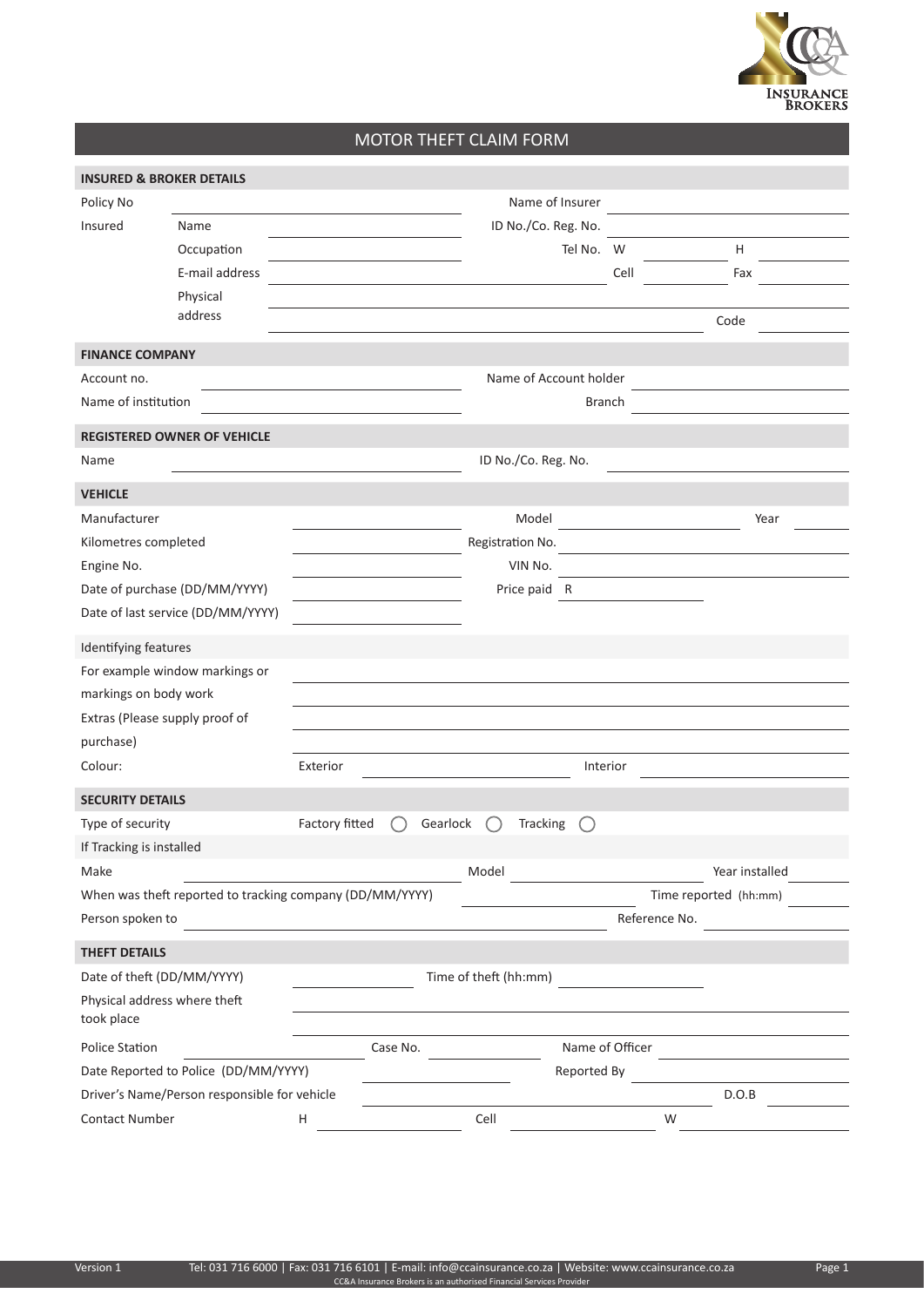

## MOTOR THEFT CLAIM FORM

| <b>INSURED &amp; BROKER DETAILS</b>                      |                                |                |                        |                       |                 |                       |  |
|----------------------------------------------------------|--------------------------------|----------------|------------------------|-----------------------|-----------------|-----------------------|--|
| Policy No                                                |                                |                |                        | Name of Insurer       |                 |                       |  |
| Insured                                                  | Name                           |                |                        | ID No./Co. Reg. No.   |                 |                       |  |
|                                                          | Occupation                     |                |                        | Tel No. W             |                 | H                     |  |
|                                                          | E-mail address                 |                |                        |                       | Cell            | Fax                   |  |
|                                                          | Physical                       |                |                        |                       |                 |                       |  |
|                                                          | address                        |                |                        |                       |                 | Code                  |  |
| <b>FINANCE COMPANY</b>                                   |                                |                |                        |                       |                 |                       |  |
| Account no.                                              |                                |                | Name of Account holder |                       |                 |                       |  |
| Name of institution                                      |                                | <b>Branch</b>  |                        |                       |                 |                       |  |
| <b>REGISTERED OWNER OF VEHICLE</b>                       |                                |                |                        |                       |                 |                       |  |
| Name                                                     |                                |                |                        | ID No./Co. Reg. No.   |                 |                       |  |
| <b>VEHICLE</b>                                           |                                |                |                        |                       |                 |                       |  |
| Manufacturer                                             |                                |                |                        | Model                 |                 | Year                  |  |
| Kilometres completed                                     |                                |                |                        | Registration No.      |                 |                       |  |
| Engine No.                                               |                                |                |                        | VIN No.               |                 |                       |  |
| Date of purchase (DD/MM/YYYY)                            |                                |                |                        | Price paid R          |                 |                       |  |
| Date of last service (DD/MM/YYYY)                        |                                |                |                        |                       |                 |                       |  |
| Identifying features                                     |                                |                |                        |                       |                 |                       |  |
|                                                          | For example window markings or |                |                        |                       |                 |                       |  |
| markings on body work                                    |                                |                |                        |                       |                 |                       |  |
| Extras (Please supply proof of                           |                                |                |                        |                       |                 |                       |  |
| purchase)                                                |                                |                |                        |                       |                 |                       |  |
| Colour:                                                  |                                | Exterior       |                        |                       | Interior        |                       |  |
| <b>SECURITY DETAILS</b>                                  |                                |                |                        |                       |                 |                       |  |
| Type of security                                         |                                | Factory fitted | Gearlock               | <b>Tracking</b>       |                 |                       |  |
| If Tracking is installed                                 |                                |                |                        |                       |                 |                       |  |
| Make                                                     |                                |                |                        | Model                 |                 | Year installed        |  |
| When was theft reported to tracking company (DD/MM/YYYY) |                                |                |                        |                       |                 | Time reported (hh:mm) |  |
| Person spoken to                                         |                                |                |                        |                       | Reference No.   |                       |  |
| <b>THEFT DETAILS</b>                                     |                                |                |                        |                       |                 |                       |  |
| Date of theft (DD/MM/YYYY)                               |                                |                |                        | Time of theft (hh:mm) |                 |                       |  |
| Physical address where theft<br>took place               |                                |                |                        |                       |                 |                       |  |
| Police Station                                           |                                |                | Case No.               |                       | Name of Officer |                       |  |
| Date Reported to Police (DD/MM/YYYY)                     |                                |                | Reported By            |                       |                 |                       |  |
| Driver's Name/Person responsible for vehicle             |                                |                |                        |                       |                 | D.O.B                 |  |
| Contact Number                                           |                                | Н              |                        | Cell                  | W               |                       |  |